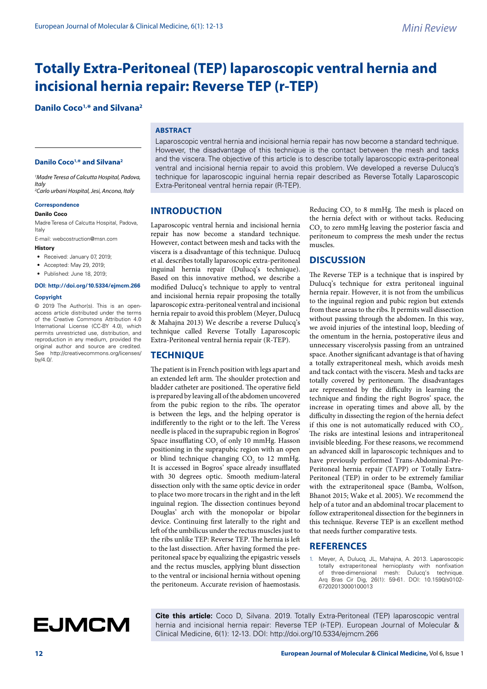## **Totally Extra-Peritoneal (TEP) laparoscopic ventral hernia and incisional hernia repair: Reverse TEP (r-TEP)**

### **Danilo Coco1,\* and Silvana2**

### **ABSTRACT**

### **Danilo Coco1,\* and Silvana2**

*1 Madre Teresa of Calcutta Hospital, Padova, Italy*

*2 Carlo urbani Hospital, Jesi, Ancona, Italy*

#### **Correspondence Danilo Coco**

Madre Teresa of Calcutta Hospital, Padova, Italy

E-mail: webcostruction@msn.com

### **History**

- Received: January 07, 2019;
- Accepted: May 29, 2019;
- Published: June 18, 2019;

### **DOI: http://doi.org/10.5334/ejmcm.266**

### **Copyright**

© 2019 The Author(s). This is an openaccess article distributed under the terms of the Creative Commons Attribution 4.0 International License (CC-BY 4.0), which permits unrestricted use, distribution, and reproduction in any medium, provided the original author and source are credited. See http://creativecommons.org/licenses/ by/4.0/.

Laparoscopic ventral hernia and incisional hernia repair has now become a standard technique. However, the disadvantage of this technique is the contact between the mesh and tacks and the viscera. The objective of this article is to describe totally laparoscopic extra-peritoneal ventral and incisional hernia repair to avoid this problem. We developed a reverse Dulucq's technique for laparoscopic inguinal hernia repair described as Reverse Totally Laparoscopic Extra-Peritoneal ventral hernia repair (R-TEP).

### **INTRODUCTION**

Laparoscopic ventral hernia and incisional hernia repair has now become a standard technique. However, contact between mesh and tacks with the viscera is a disadvantage of this technique. Dulucq et al. describes totally laparoscopic extra-peritoneal inguinal hernia repair (Dulucq's technique). Based on this innovative method, we describe a modified Dulucq's technique to apply to ventral and incisional hernia repair proposing the totally laparoscopic extra-peritoneal ventral and incisional hernia repair to avoid this problem (Meyer, Dulucq & Mahajna 2013) We describe a reverse Dulucq's technique called Reverse Totally Laparoscopic Extra-Peritoneal ventral hernia repair (R-TEP).

### **TECHNIQUE**

The patient is in French position with legs apart and an extended left arm. The shoulder protection and bladder catheter are positioned. The operative field is prepared by leaving all of the abdomen uncovered from the pubic region to the ribs. The operator is between the legs, and the helping operator is indifferently to the right or to the left. The Veress needle is placed in the suprapubic region in Bogros' Space insufflating  $CO<sub>2</sub>$  of only 10 mmHg. Hasson positioning in the suprapubic region with an open or blind technique changing  $CO<sub>2</sub>$  to 12 mmHg. It is accessed in Bogros' space already insufflated with 30 degrees optic. Smooth medium-lateral dissection only with the same optic device in order to place two more trocars in the right and in the left inguinal region. The dissection continues beyond Douglas' arch with the monopolar or bipolar device. Continuing first laterally to the right and left of the umbilicus under the rectus muscles just to the ribs unlike TEP: Reverse TEP. The hernia is left to the last dissection. After having formed the preperitoneal space by equalizing the epigastric vessels and the rectus muscles, applying blunt dissection to the ventral or incisional hernia without opening the peritoneum. Accurate revision of haemostasis.

Reducing  $CO_2$  to 8 mmHg. The mesh is placed on the hernia defect with or without tacks. Reducing  $\mathrm{CO}_2$  to zero mmHg leaving the posterior fascia and peritoneum to compress the mesh under the rectus muscles.

### **DISCUSSION**

The Reverse TEP is a technique that is inspired by Dulucq's technique for extra peritoneal inguinal hernia repair. However, it is not from the umbilicus to the inguinal region and pubic region but extends from these areas to the ribs. It permits wall dissection without passing through the abdomen. In this way, we avoid injuries of the intestinal loop, bleeding of the omentum in the hernia, postoperative ileus and unnecessary viscerolysis passing from an untrained space. Another significant advantage is that of having a totally extraperitoneal mesh, which avoids mesh and tack contact with the viscera. Mesh and tacks are totally covered by peritoneum. The disadvantages are represented by the difficulty in learning the technique and finding the right Bogros' space, the increase in operating times and above all, by the difficulty in dissecting the region of the hernia defect if this one is not automatically reduced with  $CO_2$ . The risks are intestinal lesions and intraperitoneal invisible bleeding. For these reasons, we recommend an advanced skill in laparoscopic techniques and to have previously performed Trans-Abdominal-Pre-Peritoneal hernia repair (TAPP) or Totally Extra-Peritoneal (TEP) in order to be extremely familiar with the extraperitoneal space (Bamba, Wolfson, Bhanot 2015; Wake et al. 2005). We recommend the help of a tutor and an abdominal trocar placement to follow extraperitoneal dissection for the beginners in this technique. Reverse TEP is an excellent method that needs further comparative tests.

### **REFERENCES**

1. Meyer, A, Dulucq, JL, Mahajna, A. 2013. Laparoscopic totally extraperitoneal hernioplasty with nonfixation of three-dimensional mesh: Dulucq's technique. Arq Bras Cir Dig, 26(1): 59-61. DOI: 10.1590/s0102- 67202013000100013

# **EJMCM**

**Cite this article:** Coco D, Silvana. 2019. Totally Extra-Peritoneal (TEP) laparoscopic ventral hernia and incisional hernia repair: Reverse TEP (r-TEP). European Journal of Molecular & Clinical Medicine, 6(1): 12-13. DOI: http://doi.org/10.5334/ejmcm.266